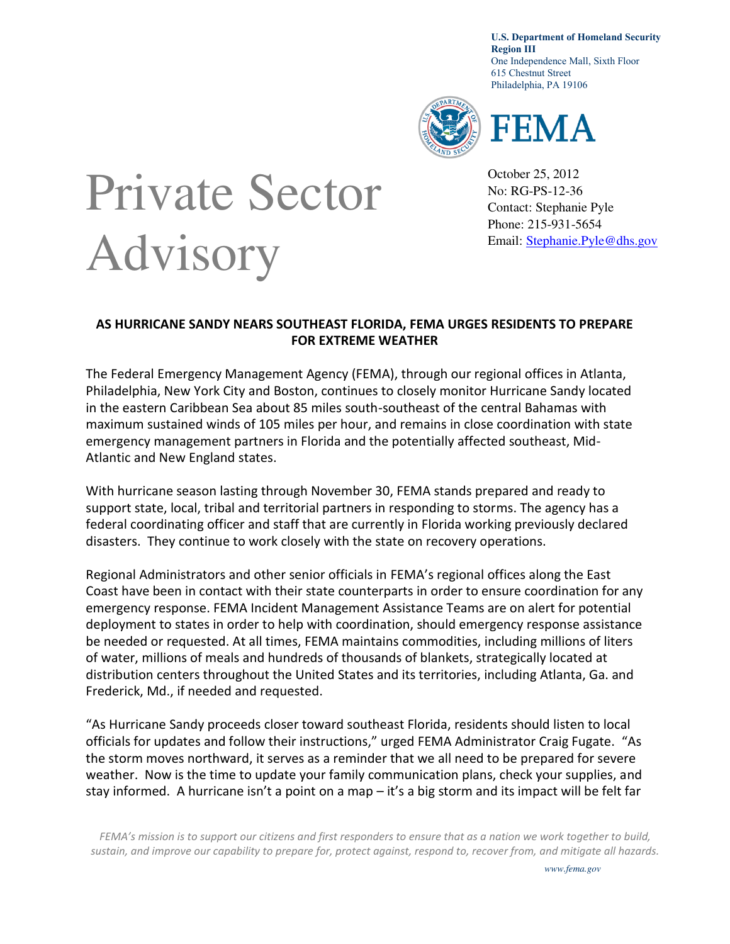**U.S. Department of Homeland Security Region III**  One Independence Mall, Sixth Floor 615 Chestnut Street Philadelphia, PA 19106



## FEMA

October 25, 2012 No: RG-PS-12-36 Contact: Stephanie Pyle Phone: 215-931-5654 Email: [Stephanie.Pyle@dhs.gov](mailto:Stephanie.Pyle@dhs.gov)

## Private Sector Advisory

## **AS HURRICANE SANDY NEARS SOUTHEAST FLORIDA, FEMA URGES RESIDENTS TO PREPARE FOR EXTREME WEATHER**

The Federal Emergency Management Agency (FEMA), through our regional offices in Atlanta, Philadelphia, New York City and Boston, continues to closely monitor Hurricane Sandy located in the eastern Caribbean Sea about 85 miles south-southeast of the central Bahamas with maximum sustained winds of 105 miles per hour, and remains in close coordination with state emergency management partners in Florida and the potentially affected southeast, Mid-Atlantic and New England states.

With hurricane season lasting through November 30, FEMA stands prepared and ready to support state, local, tribal and territorial partners in responding to storms. The agency has a federal coordinating officer and staff that are currently in Florida working previously declared disasters. They continue to work closely with the state on recovery operations.

Regional Administrators and other senior officials in FEMA's regional offices along the East Coast have been in contact with their state counterparts in order to ensure coordination for any emergency response. FEMA Incident Management Assistance Teams are on alert for potential deployment to states in order to help with coordination, should emergency response assistance be needed or requested. At all times, FEMA maintains commodities, including millions of liters of water, millions of meals and hundreds of thousands of blankets, strategically located at distribution centers throughout the United States and its territories, including Atlanta, Ga. and Frederick, Md., if needed and requested.

"As Hurricane Sandy proceeds closer toward southeast Florida, residents should listen to local officials for updates and follow their instructions," urged FEMA Administrator Craig Fugate. "As the storm moves northward, it serves as a reminder that we all need to be prepared for severe weather. Now is the time to update your family communication plans, check your supplies, and stay informed. A hurricane isn't a point on a map – it's a big storm and its impact will be felt far

*FEMA's mission is to support our citizens and first responders to ensure that as a nation we work together to build, sustain, and improve our capability to prepare for, protect against, respond to, recover from, and mitigate all hazards.*

*www.fema.gov*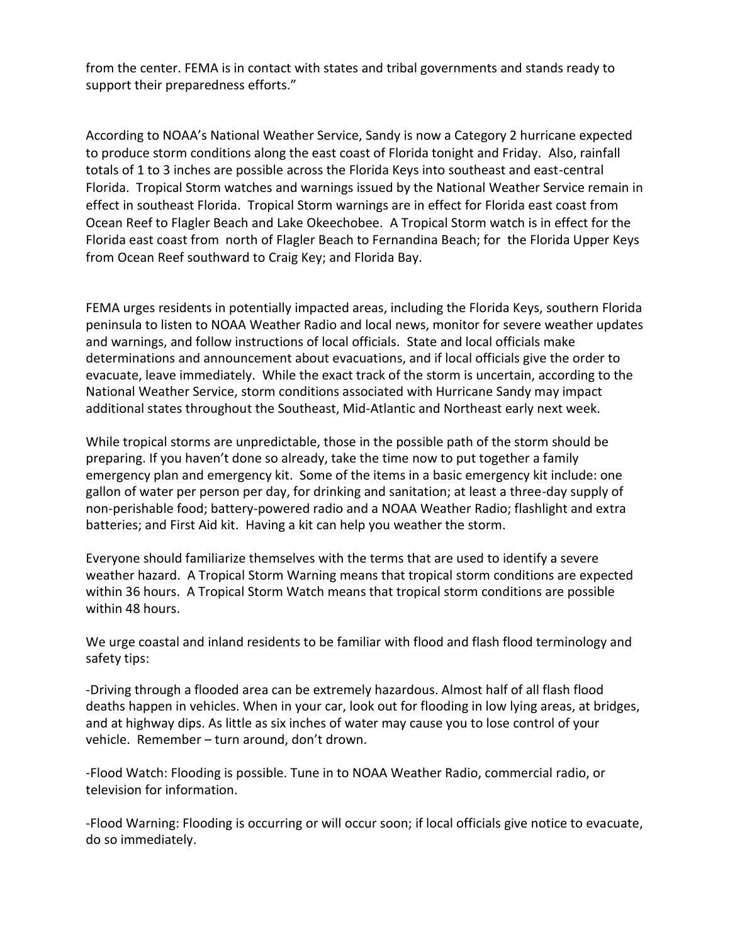from the center. FEMA is in contact with states and tribal governments and stands ready to support their preparedness efforts."

According to NOAA's National Weather Service, Sandy is now a Category 2 hurricane expected to produce storm conditions along the east coast of Florida tonight and Friday. Also, rainfall totals of 1 to 3 inches are possible across the Florida Keys into southeast and east-central Florida. Tropical Storm watches and warnings issued by the National Weather Service remain in effect in southeast Florida. Tropical Storm warnings are in effect for Florida east coast from Ocean Reef to Flagler Beach and Lake Okeechobee. A Tropical Storm watch is in effect for the Florida east coast from north of Flagler Beach to Fernandina Beach; for the Florida Upper Keys from Ocean Reef southward to Craig Key; and Florida Bay.

FEMA urges residents in potentially impacted areas, including the Florida Keys, southern Florida peninsula to listen to NOAA Weather Radio and local news, monitor for severe weather updates and warnings, and follow instructions of local officials. State and local officials make determinations and announcement about evacuations, and if local officials give the order to evacuate, leave immediately. While the exact track of the storm is uncertain, according to the National Weather Service, storm conditions associated with Hurricane Sandy may impact additional states throughout the Southeast, Mid-Atlantic and Northeast early next week.

While tropical storms are unpredictable, those in the possible path of the storm should be preparing. If you haven't done so already, take the time now to put together a family emergency plan and emergency kit. Some of the items in a basic emergency kit include: one gallon of water per person per day, for drinking and sanitation; at least a three-day supply of non-perishable food; battery-powered radio and a NOAA Weather Radio; flashlight and extra batteries; and First Aid kit. Having a kit can help you weather the storm.

Everyone should familiarize themselves with the terms that are used to identify a severe weather hazard. A Tropical Storm Warning means that tropical storm conditions are expected within 36 hours. A Tropical Storm Watch means that tropical storm conditions are possible within 48 hours.

We urge coastal and inland residents to be familiar with flood and flash flood terminology and safety tips:

-Driving through a flooded area can be extremely hazardous. Almost half of all flash flood deaths happen in vehicles. When in your car, look out for flooding in low lying areas, at bridges, and at highway dips. As little as six inches of water may cause you to lose control of your vehicle. Remember – turn around, don't drown.

-Flood Watch: Flooding is possible. Tune in to NOAA Weather Radio, commercial radio, or television for information.

-Flood Warning: Flooding is occurring or will occur soon; if local officials give notice to evacuate, do so immediately.